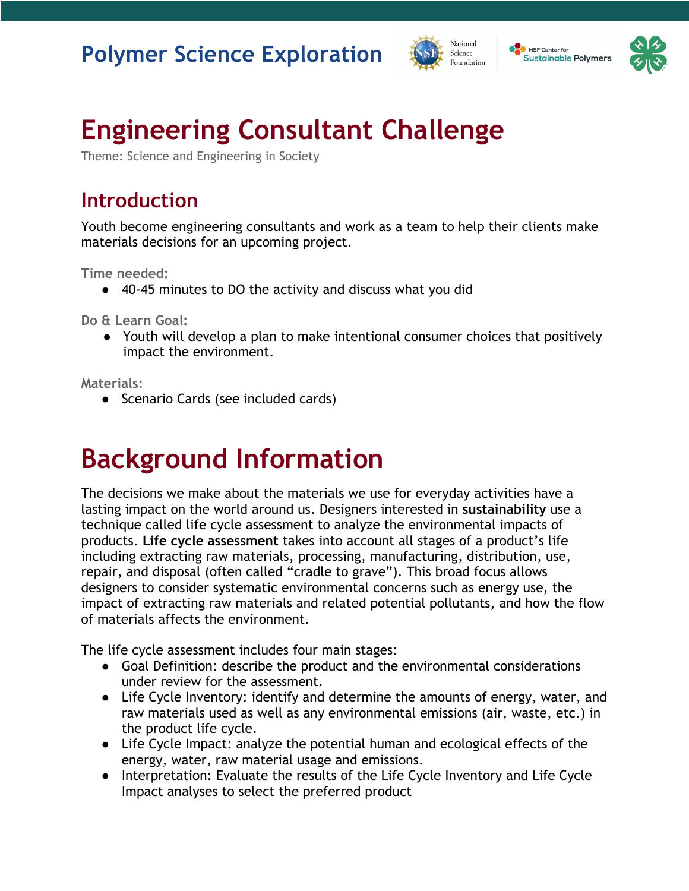



# **Engineering Consultant Challenge**

Theme: Science and Engineering in Society

# **Introduction**

Youth become engineering consultants and work as a team to help their clients make materials decisions for an upcoming project.

**Time needed:**

● 40-45 minutes to DO the activity and discuss what you did

**Do & Learn Goal:**

● Youth will develop a plan to make intentional consumer choices that positively impact the environment.

**Materials:**

● Scenario Cards (see included cards)

# **Background Information**

The decisions we make about the materials we use for everyday activities have a lasting impact on the world around us. Designers interested in **sustainability** use a technique called life cycle assessment to analyze the environmental impacts of products. **Life cycle assessment** takes into account all stages of a product's life including extracting raw materials, processing, manufacturing, distribution, use, repair, and disposal (often called "cradle to grave"). This broad focus allows designers to consider systematic environmental concerns such as energy use, the impact of extracting raw materials and related potential pollutants, and how the flow of materials affects the environment.

The life cycle assessment includes four main stages:

- Goal Definition: describe the product and the environmental considerations under review for the assessment.
- Life Cycle Inventory: identify and determine the amounts of energy, water, and raw materials used as well as any environmental emissions (air, waste, etc.) in the product life cycle.
- Life Cycle Impact: analyze the potential human and ecological effects of the energy, water, raw material usage and emissions.
- Interpretation: Evaluate the results of the Life Cycle Inventory and Life Cycle Impact analyses to select the preferred product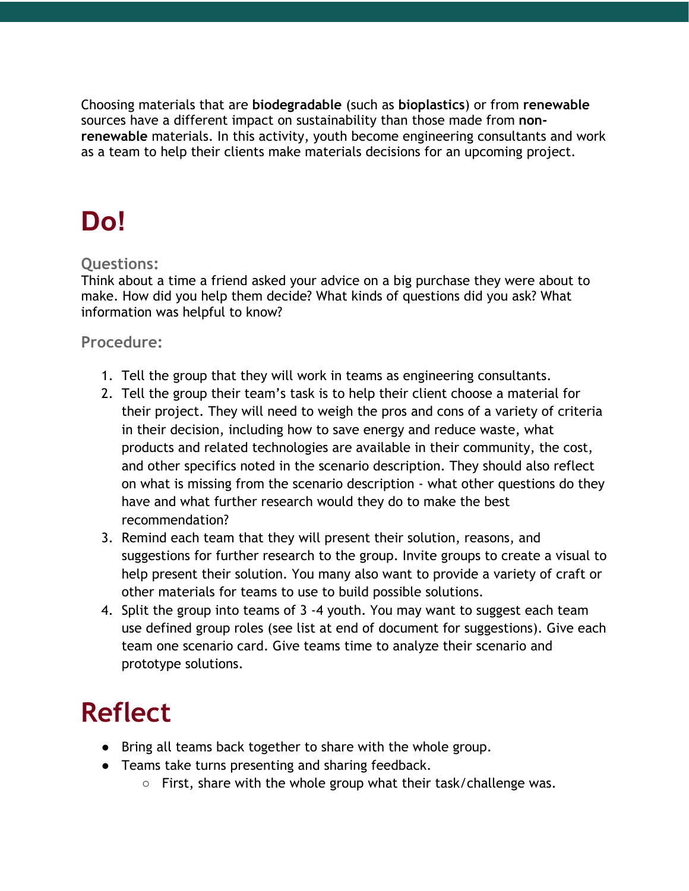Choosing materials that are **biodegradable** (such as **bioplastics**) or from **renewable**  sources have a different impact on sustainability than those made from **nonrenewable** materials. In this activity, youth become engineering consultants and work as a team to help their clients make materials decisions for an upcoming project.

# **Do!**

# **Questions:**

Think about a time a friend asked your advice on a big purchase they were about to make. How did you help them decide? What kinds of questions did you ask? What information was helpful to know?

# **Procedure:**

- 1. Tell the group that they will work in teams as engineering consultants.
- 2. Tell the group their team's task is to help their client choose a material for their project. They will need to weigh the pros and cons of a variety of criteria in their decision, including how to save energy and reduce waste, what products and related technologies are available in their community, the cost, and other specifics noted in the scenario description. They should also reflect on what is missing from the scenario description - what other questions do they have and what further research would they do to make the best recommendation?
- 3. Remind each team that they will present their solution, reasons, and suggestions for further research to the group. Invite groups to create a visual to help present their solution. You many also want to provide a variety of craft or other materials for teams to use to build possible solutions.
- 4. Split the group into teams of 3 -4 youth. You may want to suggest each team use defined group roles (see list at end of document for suggestions). Give each team one scenario card. Give teams time to analyze their scenario and prototype solutions.

# **Reflect**

- Bring all teams back together to share with the whole group.
- Teams take turns presenting and sharing feedback.
	- $\circ$  First, share with the whole group what their task/challenge was.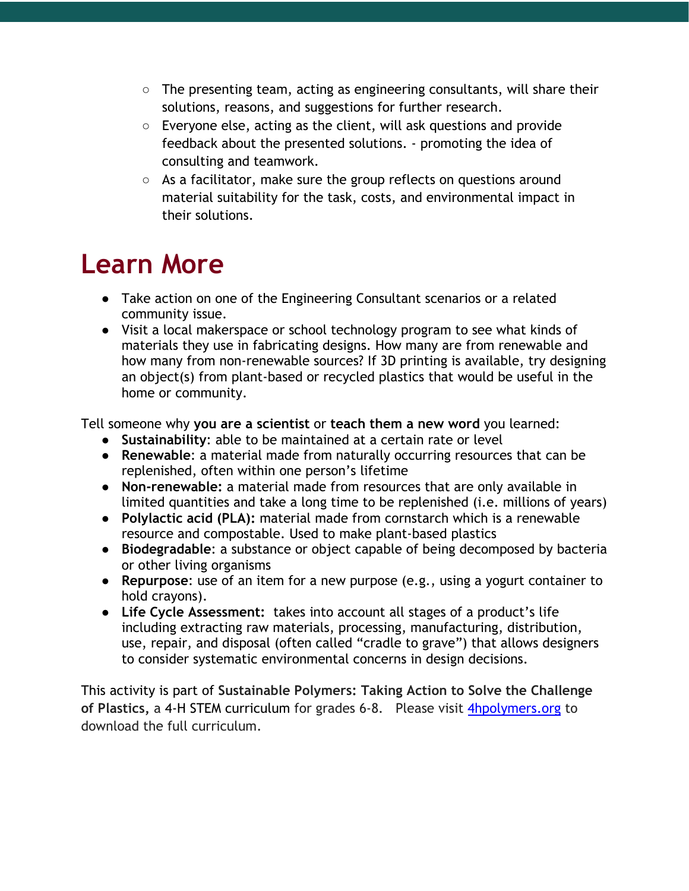- $\circ$  The presenting team, acting as engineering consultants, will share their solutions, reasons, and suggestions for further research.
- Everyone else, acting as the client, will ask questions and provide feedback about the presented solutions. - promoting the idea of consulting and teamwork.
- As a facilitator, make sure the group reflects on questions around material suitability for the task, costs, and environmental impact in their solutions.

# **Learn More**

- Take action on one of the Engineering Consultant scenarios or a related community issue.
- Visit a local makerspace or school technology program to see what kinds of materials they use in fabricating designs. How many are from renewable and how many from non-renewable sources? If 3D printing is available, try designing an object(s) from plant-based or recycled plastics that would be useful in the home or community.

Tell someone why **you are a scientist** or **teach them a new word** you learned:

- **Sustainability**: able to be maintained at a certain rate or level
- **Renewable**: a material made from naturally occurring resources that can be replenished, often within one person's lifetime
- **Non-renewable:** a material made from resources that are only available in limited quantities and take a long time to be replenished (i.e. millions of years)
- **Polylactic acid (PLA):** material made from cornstarch which is a renewable resource and compostable. Used to make plant-based plastics
- **Biodegradable**: a substance or object capable of being decomposed by bacteria or other living organisms
- **Repurpose**: use of an item for a new purpose (e.g., using a yogurt container to hold crayons).
- **Life Cycle Assessment:** takes into account all stages of a product's life including extracting raw materials, processing, manufacturing, distribution, use, repair, and disposal (often called "cradle to grave") that allows designers to consider systematic environmental concerns in design decisions.

This activity is part of **Sustainable Polymers: Taking Action to Solve the Challenge of Plastics,** a 4-H STEM curriculum for grades 6-8. Please visit 4hpolymers.org to download the full curriculum.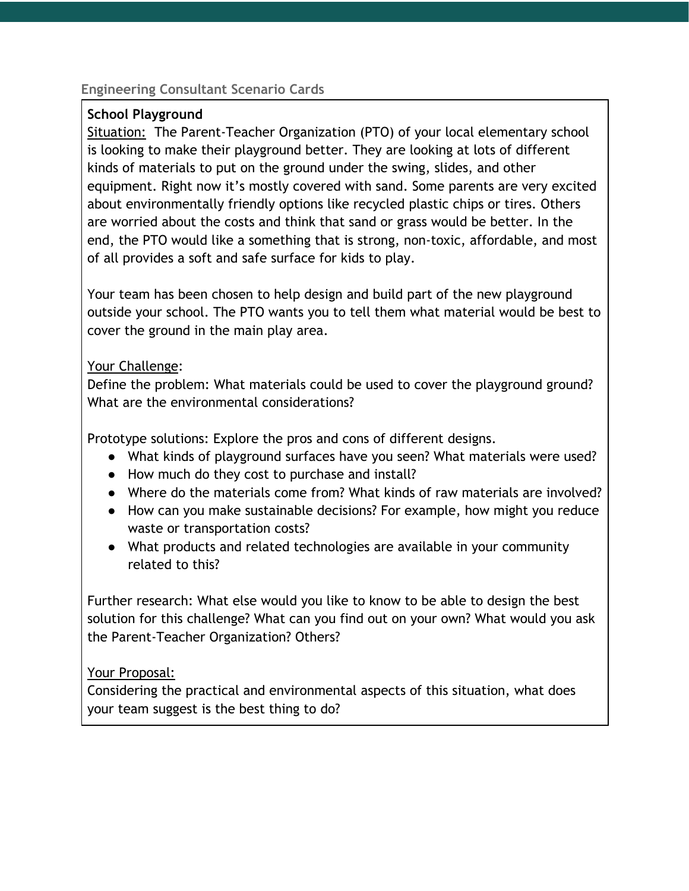#### **School Playground**

Situation: The Parent-Teacher Organization (PTO) of your local elementary school is looking to make their playground better. They are looking at lots of different kinds of materials to put on the ground under the swing, slides, and other equipment. Right now it's mostly covered with sand. Some parents are very excited about environmentally friendly options like recycled plastic chips or tires. Others are worried about the costs and think that sand or grass would be better. In the end, the PTO would like a something that is strong, non-toxic, affordable, and most of all provides a soft and safe surface for kids to play.

Your team has been chosen to help design and build part of the new playground outside your school. The PTO wants you to tell them what material would be best to cover the ground in the main play area.

#### Your Challenge:

Define the problem: What materials could be used to cover the playground ground? What are the environmental considerations?

Prototype solutions: Explore the pros and cons of different designs.

- What kinds of playground surfaces have you seen? What materials were used?
- How much do they cost to purchase and install?
- Where do the materials come from? What kinds of raw materials are involved?
- How can you make sustainable decisions? For example, how might you reduce waste or transportation costs?
- What products and related technologies are available in your community related to this?

Further research: What else would you like to know to be able to design the best solution for this challenge? What can you find out on your own? What would you ask the Parent-Teacher Organization? Others?

# Your Proposal: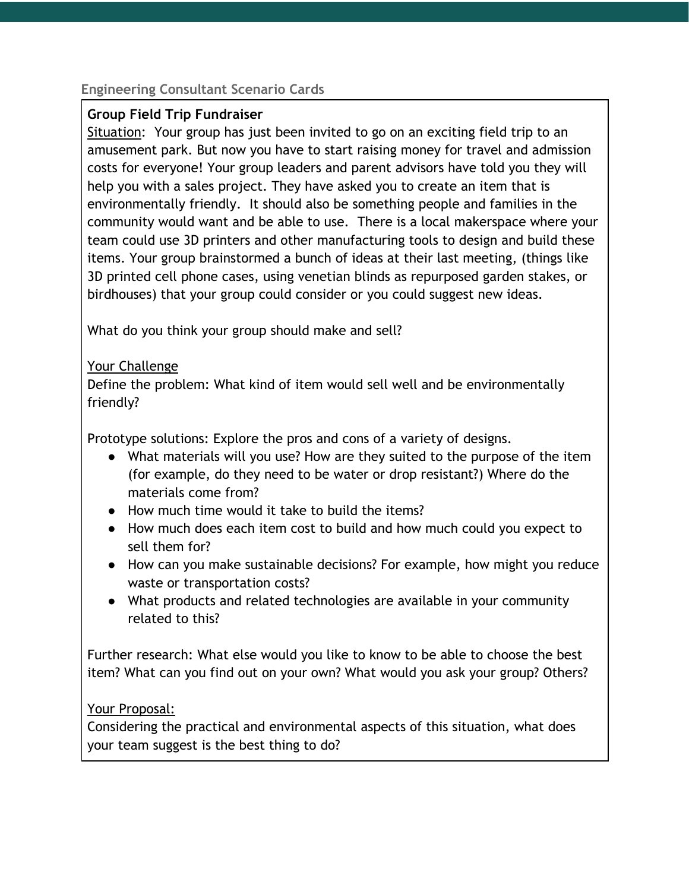#### **Group Field Trip Fundraiser**

Situation: Your group has just been invited to go on an exciting field trip to an amusement park. But now you have to start raising money for travel and admission costs for everyone! Your group leaders and parent advisors have told you they will help you with a sales project. They have asked you to create an item that is environmentally friendly. It should also be something people and families in the community would want and be able to use. There is a local makerspace where your team could use 3D printers and other manufacturing tools to design and build these items. Your group brainstormed a bunch of ideas at their last meeting, (things like 3D printed cell phone cases, using venetian blinds as repurposed garden stakes, or birdhouses) that your group could consider or you could suggest new ideas.

What do you think your group should make and sell?

# Your Challenge

Define the problem: What kind of item would sell well and be environmentally friendly?

Prototype solutions: Explore the pros and cons of a variety of designs.

- What materials will you use? How are they suited to the purpose of the item (for example, do they need to be water or drop resistant?) Where do the materials come from?
- How much time would it take to build the items?
- How much does each item cost to build and how much could you expect to sell them for?
- How can you make sustainable decisions? For example, how might you reduce waste or transportation costs?
- What products and related technologies are available in your community related to this?

Further research: What else would you like to know to be able to choose the best item? What can you find out on your own? What would you ask your group? Others?

Your Proposal: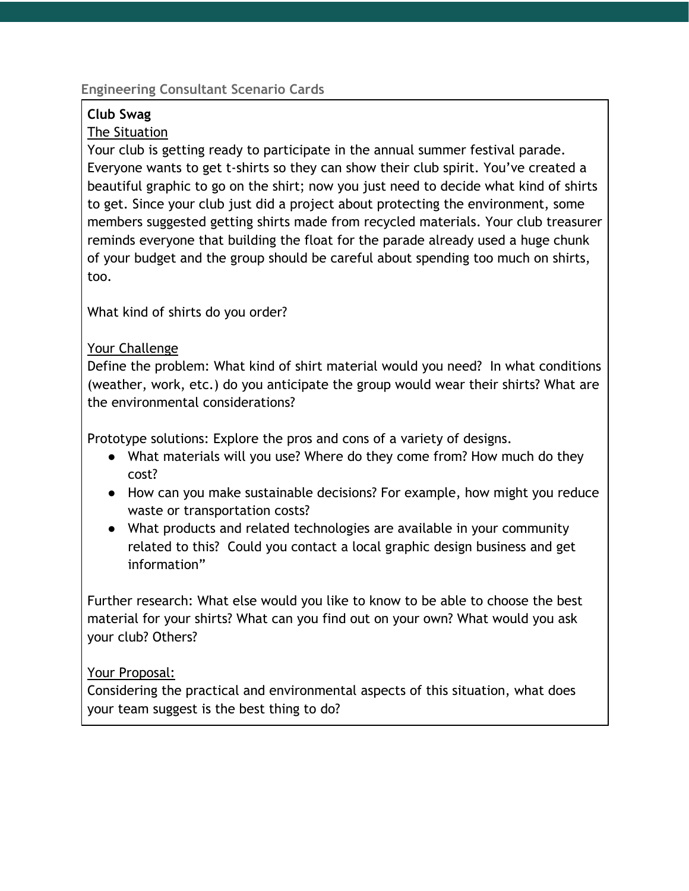# **Club Swag**

### The Situation

Your club is getting ready to participate in the annual summer festival parade. Everyone wants to get t-shirts so they can show their club spirit. You've created a beautiful graphic to go on the shirt; now you just need to decide what kind of shirts to get. Since your club just did a project about protecting the environment, some members suggested getting shirts made from recycled materials. Your club treasurer reminds everyone that building the float for the parade already used a huge chunk of your budget and the group should be careful about spending too much on shirts, too.

What kind of shirts do you order?

# Your Challenge

Define the problem: What kind of shirt material would you need? In what conditions (weather, work, etc.) do you anticipate the group would wear their shirts? What are the environmental considerations?

Prototype solutions: Explore the pros and cons of a variety of designs.

- What materials will you use? Where do they come from? How much do they cost?
- How can you make sustainable decisions? For example, how might you reduce waste or transportation costs?
- What products and related technologies are available in your community related to this? Could you contact a local graphic design business and get information"

Further research: What else would you like to know to be able to choose the best material for your shirts? What can you find out on your own? What would you ask your club? Others?

# Your Proposal: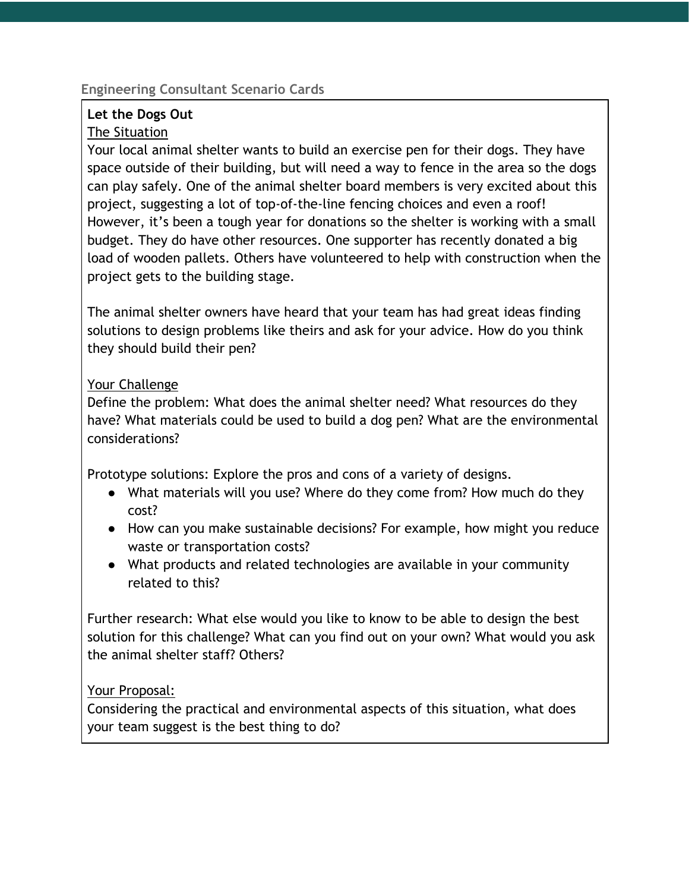# **Let the Dogs Out**

#### The Situation

Your local animal shelter wants to build an exercise pen for their dogs. They have space outside of their building, but will need a way to fence in the area so the dogs can play safely. One of the animal shelter board members is very excited about this project, suggesting a lot of top-of-the-line fencing choices and even a roof! However, it's been a tough year for donations so the shelter is working with a small budget. They do have other resources. One supporter has recently donated a big load of wooden pallets. Others have volunteered to help with construction when the project gets to the building stage.

The animal shelter owners have heard that your team has had great ideas finding solutions to design problems like theirs and ask for your advice. How do you think they should build their pen?

#### Your Challenge

Define the problem: What does the animal shelter need? What resources do they have? What materials could be used to build a dog pen? What are the environmental considerations?

Prototype solutions: Explore the pros and cons of a variety of designs.

- What materials will you use? Where do they come from? How much do they cost?
- How can you make sustainable decisions? For example, how might you reduce waste or transportation costs?
- What products and related technologies are available in your community related to this?

Further research: What else would you like to know to be able to design the best solution for this challenge? What can you find out on your own? What would you ask the animal shelter staff? Others?

# Your Proposal: